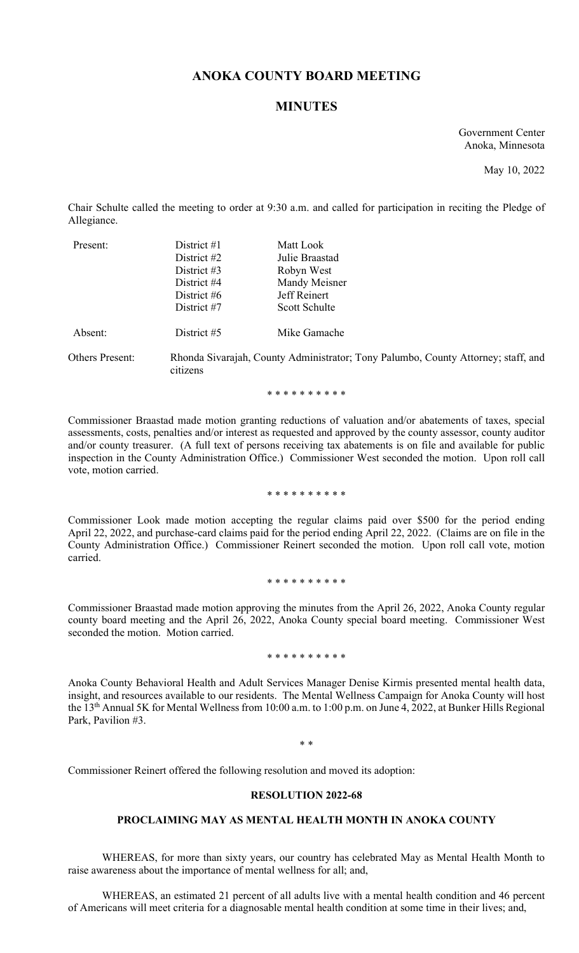# **ANOKA COUNTY BOARD MEETING**

# **MINUTES**

Government Center Anoka, Minnesota

May 10, 2022

Chair Schulte called the meeting to order at 9:30 a.m. and called for participation in reciting the Pledge of Allegiance.

| Present: | District $#1$<br>District #2<br>District $#3$<br>District #4<br>District $#6$<br>District #7 | Matt Look<br>Julie Braastad<br>Robyn West<br>Mandy Meisner<br>Jeff Reinert<br>Scott Schulte |
|----------|----------------------------------------------------------------------------------------------|---------------------------------------------------------------------------------------------|
| Absent:  | District #5                                                                                  | Mike Gamache                                                                                |

Others Present: Rhonda Sivarajah, County Administrator; Tony Palumbo, County Attorney; staff, and citizens

\* \* \* \* \* \* \* \* \* \*

Commissioner Braastad made motion granting reductions of valuation and/or abatements of taxes, special assessments, costs, penalties and/or interest as requested and approved by the county assessor, county auditor and/or county treasurer. (A full text of persons receiving tax abatements is on file and available for public inspection in the County Administration Office.) Commissioner West seconded the motion. Upon roll call vote, motion carried.

\* \* \* \* \* \* \* \* \* \*

Commissioner Look made motion accepting the regular claims paid over \$500 for the period ending April 22, 2022, and purchase-card claims paid for the period ending April 22, 2022. (Claims are on file in the County Administration Office.) Commissioner Reinert seconded the motion. Upon roll call vote, motion carried.

\* \* \* \* \* \* \* \* \* \*

Commissioner Braastad made motion approving the minutes from the April 26, 2022, Anoka County regular county board meeting and the April 26, 2022, Anoka County special board meeting. Commissioner West seconded the motion. Motion carried.

#### \* \* \* \* \* \* \* \* \* \*

Anoka County Behavioral Health and Adult Services Manager Denise Kirmis presented mental health data, insight, and resources available to our residents. The Mental Wellness Campaign for Anoka County will host the 13<sup>th</sup> Annual 5K for Mental Wellness from 10:00 a.m. to 1:00 p.m. on June 4, 2022, at Bunker Hills Regional Park, Pavilion #3.

\* \*

Commissioner Reinert offered the following resolution and moved its adoption:

### **RESOLUTION 2022-68**

# **PROCLAIMING MAY AS MENTAL HEALTH MONTH IN ANOKA COUNTY**

WHEREAS, for more than sixty years, our country has celebrated May as Mental Health Month to raise awareness about the importance of mental wellness for all; and,

WHEREAS, an estimated 21 percent of all adults live with a mental health condition and 46 percent of Americans will meet criteria for a diagnosable mental health condition at some time in their lives; and,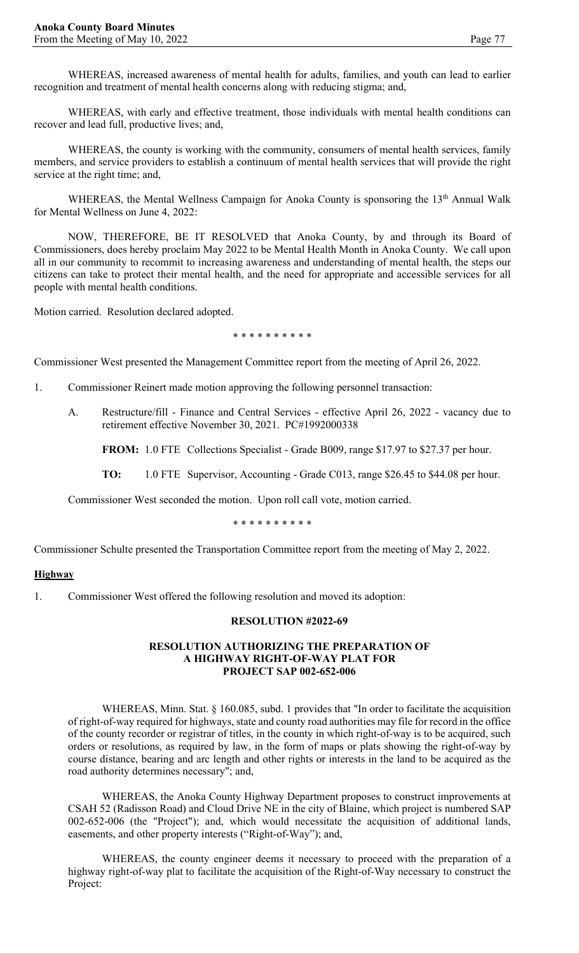WHEREAS, increased awareness of mental health for adults, families, and youth can lead to earlier recognition and treatment of mental health concerns along with reducing stigma; and,

WHEREAS, with early and effective treatment, those individuals with mental health conditions can recover and lead full, productive lives; and,

WHEREAS, the county is working with the community, consumers of mental health services, family members, and service providers to establish a continuum of mental health services that will provide the right service at the right time; and,

WHEREAS, the Mental Wellness Campaign for Anoka County is sponsoring the 13<sup>th</sup> Annual Walk for Mental Wellness on June 4, 2022:

NOW, THEREFORE, BE IT RESOLVED that Anoka County, by and through its Board of Commissioners, does hereby proclaim May 2022 to be Mental Health Month in Anoka County. We call upon all in our community to recommit to increasing awareness and understanding of mental health, the steps our citizens can take to protect their mental health, and the need for appropriate and accessible services for all people with mental health conditions.

Motion carried. Resolution declared adopted.

\* \* \* \* \* \* \* \* \* \*

Commissioner West presented the Management Committee report from the meeting of April 26, 2022.

- 1. Commissioner Reinert made motion approving the following personnel transaction:
	- A. Restructure/fill Finance and Central Services effective April 26, 2022 vacancy due to retirement effective November 30, 2021. PC#1992000338

**FROM:** 1.0 FTE Collections Specialist - Grade B009, range \$17.97 to \$27.37 per hour.

**TO:** 1.0 FTE Supervisor, Accounting - Grade C013, range \$26.45 to \$44.08 per hour.

Commissioner West seconded the motion. Upon roll call vote, motion carried.

\* \* \* \* \* \* \* \* \* \*

Commissioner Schulte presented the Transportation Committee report from the meeting of May 2, 2022.

#### **Highway**

1. Commissioner West offered the following resolution and moved its adoption:

#### **RESOLUTION #2022-69**

### **RESOLUTION AUTHORIZING THE PREPARATION OF A HIGHWAY RIGHT-OF-WAY PLAT FOR PROJECT SAP 002-652-006**

WHEREAS, Minn. Stat. § 160.085, subd. 1 provides that "In order to facilitate the acquisition of right-of-way required for highways, state and county road authorities may file for record in the office of the county recorder or registrar of titles, in the county in which right-of-way is to be acquired, such orders or resolutions, as required by law, in the form of maps or plats showing the right-of-way by course distance, bearing and arc length and other rights or interests in the land to be acquired as the road authority determines necessary"; and,

WHEREAS, the Anoka County Highway Department proposes to construct improvements at CSAH 52 (Radisson Road) and Cloud Drive NE in the city of Blaine, which project is numbered SAP 002-652-006 (the "Project"); and, which would necessitate the acquisition of additional lands, easements, and other property interests ("Right-of-Way"); and,

WHEREAS, the county engineer deems it necessary to proceed with the preparation of a highway right-of-way plat to facilitate the acquisition of the Right-of-Way necessary to construct the Project: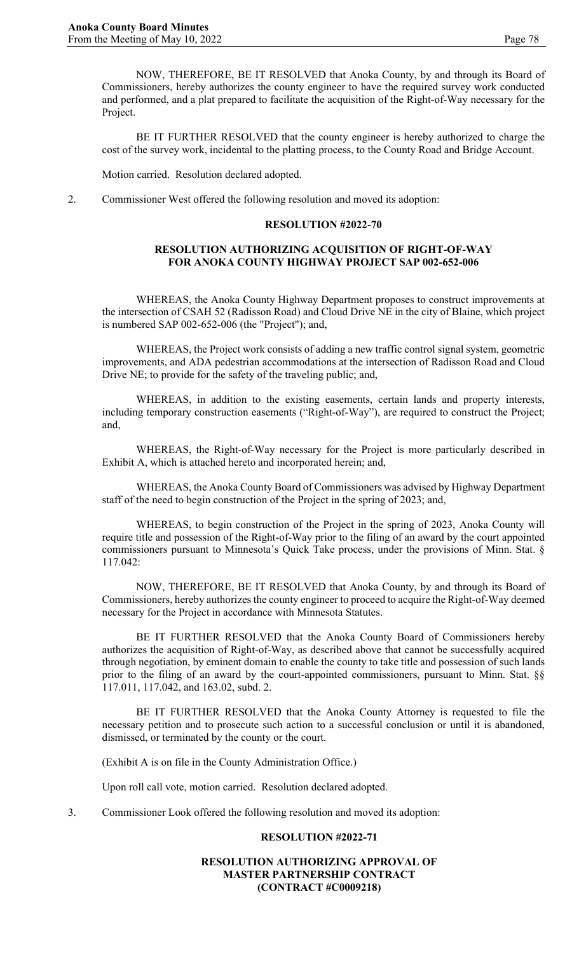BE IT FURTHER RESOLVED that the county engineer is hereby authorized to charge the cost of the survey work, incidental to the platting process, to the County Road and Bridge Account.

Motion carried. Resolution declared adopted.

2. Commissioner West offered the following resolution and moved its adoption:

#### **RESOLUTION #2022-70**

# **RESOLUTION AUTHORIZING ACQUISITION OF RIGHT-OF-WAY FOR ANOKA COUNTY HIGHWAY PROJECT SAP 002-652-006**

WHEREAS, the Anoka County Highway Department proposes to construct improvements at the intersection of CSAH 52 (Radisson Road) and Cloud Drive NE in the city of Blaine, which project is numbered SAP 002-652-006 (the "Project"); and,

WHEREAS, the Project work consists of adding a new traffic control signal system, geometric improvements, and ADA pedestrian accommodations at the intersection of Radisson Road and Cloud Drive NE; to provide for the safety of the traveling public; and,

WHEREAS, in addition to the existing easements, certain lands and property interests, including temporary construction easements ("Right-of-Way"), are required to construct the Project; and,

WHEREAS, the Right-of-Way necessary for the Project is more particularly described in Exhibit A, which is attached hereto and incorporated herein; and,

WHEREAS, the Anoka County Board of Commissioners was advised by Highway Department staff of the need to begin construction of the Project in the spring of 2023; and,

WHEREAS, to begin construction of the Project in the spring of 2023, Anoka County will require title and possession of the Right-of-Way prior to the filing of an award by the court appointed commissioners pursuant to Minnesota's Quick Take process, under the provisions of Minn. Stat. § 117.042:

NOW, THEREFORE, BE IT RESOLVED that Anoka County, by and through its Board of Commissioners, hereby authorizes the county engineer to proceed to acquire the Right-of-Way deemed necessary for the Project in accordance with Minnesota Statutes.

BE IT FURTHER RESOLVED that the Anoka County Board of Commissioners hereby authorizes the acquisition of Right-of-Way, as described above that cannot be successfully acquired through negotiation, by eminent domain to enable the county to take title and possession of such lands prior to the filing of an award by the court-appointed commissioners, pursuant to Minn. Stat. §§ 117.011, 117.042, and 163.02, subd. 2.

BE IT FURTHER RESOLVED that the Anoka County Attorney is requested to file the necessary petition and to prosecute such action to a successful conclusion or until it is abandoned, dismissed, or terminated by the county or the court.

(Exhibit A is on file in the County Administration Office.)

Upon roll call vote, motion carried. Resolution declared adopted.

3. Commissioner Look offered the following resolution and moved its adoption:

# **RESOLUTION #2022-71**

### **RESOLUTION AUTHORIZING APPROVAL OF MASTER PARTNERSHIP CONTRACT (CONTRACT #C0009218)**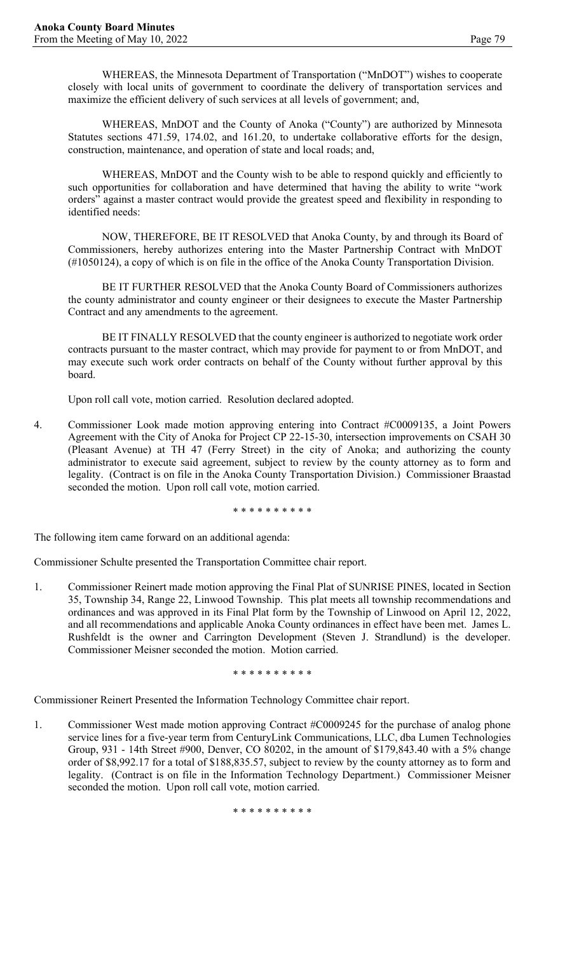WHEREAS, the Minnesota Department of Transportation ("MnDOT") wishes to cooperate closely with local units of government to coordinate the delivery of transportation services and maximize the efficient delivery of such services at all levels of government; and,

WHEREAS, MnDOT and the County of Anoka ("County") are authorized by Minnesota Statutes sections 471.59, 174.02, and 161.20, to undertake collaborative efforts for the design, construction, maintenance, and operation of state and local roads; and,

WHEREAS, MnDOT and the County wish to be able to respond quickly and efficiently to such opportunities for collaboration and have determined that having the ability to write "work orders" against a master contract would provide the greatest speed and flexibility in responding to identified needs:

NOW, THEREFORE, BE IT RESOLVED that Anoka County, by and through its Board of Commissioners, hereby authorizes entering into the Master Partnership Contract with MnDOT (#1050124), a copy of which is on file in the office of the Anoka County Transportation Division.

BE IT FURTHER RESOLVED that the Anoka County Board of Commissioners authorizes the county administrator and county engineer or their designees to execute the Master Partnership Contract and any amendments to the agreement.

BE IT FINALLY RESOLVED that the county engineer is authorized to negotiate work order contracts pursuant to the master contract, which may provide for payment to or from MnDOT, and may execute such work order contracts on behalf of the County without further approval by this board.

Upon roll call vote, motion carried. Resolution declared adopted.

4. Commissioner Look made motion approving entering into Contract #C0009135, a Joint Powers Agreement with the City of Anoka for Project CP 22-15-30, intersection improvements on CSAH 30 (Pleasant Avenue) at TH 47 (Ferry Street) in the city of Anoka; and authorizing the county administrator to execute said agreement, subject to review by the county attorney as to form and legality. (Contract is on file in the Anoka County Transportation Division.) Commissioner Braastad seconded the motion. Upon roll call vote, motion carried.

\* \* \* \* \* \* \* \* \* \*

The following item came forward on an additional agenda:

Commissioner Schulte presented the Transportation Committee chair report.

1. Commissioner Reinert made motion approving the Final Plat of SUNRISE PINES, located in Section 35, Township 34, Range 22, Linwood Township. This plat meets all township recommendations and ordinances and was approved in its Final Plat form by the Township of Linwood on April 12, 2022, and all recommendations and applicable Anoka County ordinances in effect have been met. James L. Rushfeldt is the owner and Carrington Development (Steven J. Strandlund) is the developer. Commissioner Meisner seconded the motion. Motion carried.

\* \* \* \* \* \* \* \* \* \*

Commissioner Reinert Presented the Information Technology Committee chair report.

1. Commissioner West made motion approving Contract #C0009245 for the purchase of analog phone service lines for a five-year term from CenturyLink Communications, LLC, dba Lumen Technologies Group, 931 - 14th Street #900, Denver, CO 80202, in the amount of \$179,843.40 with a 5% change order of \$8,992.17 for a total of \$188,835.57, subject to review by the county attorney as to form and legality. (Contract is on file in the Information Technology Department.) Commissioner Meisner seconded the motion. Upon roll call vote, motion carried.

\* \* \* \* \* \* \* \* \* \*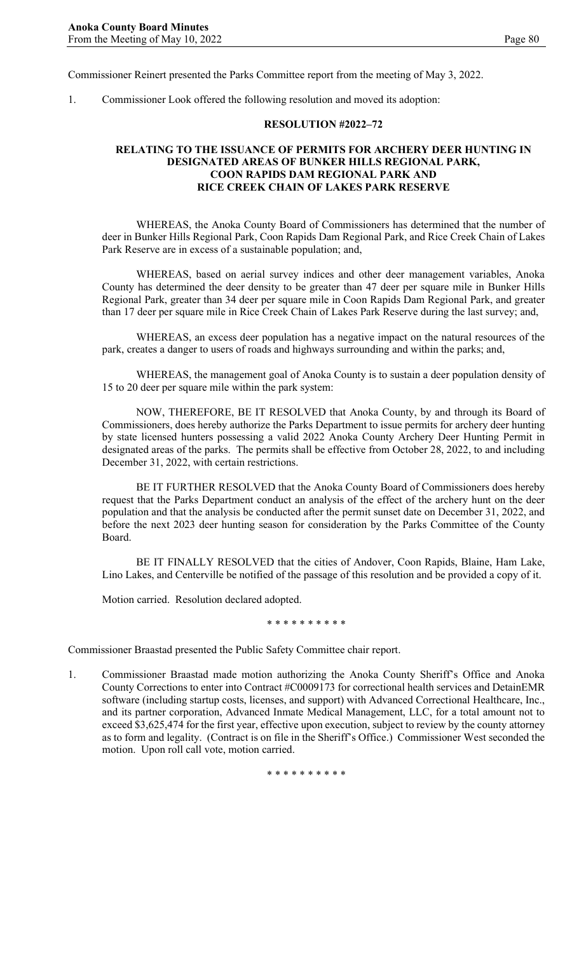Commissioner Reinert presented the Parks Committee report from the meeting of May 3, 2022.

1. Commissioner Look offered the following resolution and moved its adoption:

#### **RESOLUTION #2022–72**

# **RELATING TO THE ISSUANCE OF PERMITS FOR ARCHERY DEER HUNTING IN DESIGNATED AREAS OF BUNKER HILLS REGIONAL PARK, COON RAPIDS DAM REGIONAL PARK AND RICE CREEK CHAIN OF LAKES PARK RESERVE**

WHEREAS, the Anoka County Board of Commissioners has determined that the number of deer in Bunker Hills Regional Park, Coon Rapids Dam Regional Park, and Rice Creek Chain of Lakes Park Reserve are in excess of a sustainable population; and,

WHEREAS, based on aerial survey indices and other deer management variables, Anoka County has determined the deer density to be greater than 47 deer per square mile in Bunker Hills Regional Park, greater than 34 deer per square mile in Coon Rapids Dam Regional Park, and greater than 17 deer per square mile in Rice Creek Chain of Lakes Park Reserve during the last survey; and,

WHEREAS, an excess deer population has a negative impact on the natural resources of the park, creates a danger to users of roads and highways surrounding and within the parks; and,

WHEREAS, the management goal of Anoka County is to sustain a deer population density of 15 to 20 deer per square mile within the park system:

NOW, THEREFORE, BE IT RESOLVED that Anoka County, by and through its Board of Commissioners, does hereby authorize the Parks Department to issue permits for archery deer hunting by state licensed hunters possessing a valid 2022 Anoka County Archery Deer Hunting Permit in designated areas of the parks. The permits shall be effective from October 28, 2022, to and including December 31, 2022, with certain restrictions.

BE IT FURTHER RESOLVED that the Anoka County Board of Commissioners does hereby request that the Parks Department conduct an analysis of the effect of the archery hunt on the deer population and that the analysis be conducted after the permit sunset date on December 31, 2022, and before the next 2023 deer hunting season for consideration by the Parks Committee of the County Board.

BE IT FINALLY RESOLVED that the cities of Andover, Coon Rapids, Blaine, Ham Lake, Lino Lakes, and Centerville be notified of the passage of this resolution and be provided a copy of it.

Motion carried. Resolution declared adopted.

\* \* \* \* \* \* \* \* \* \*

Commissioner Braastad presented the Public Safety Committee chair report.

1. Commissioner Braastad made motion authorizing the Anoka County Sheriff's Office and Anoka County Corrections to enter into Contract #C0009173 for correctional health services and DetainEMR software (including startup costs, licenses, and support) with Advanced Correctional Healthcare, Inc., and its partner corporation, Advanced Inmate Medical Management, LLC, for a total amount not to exceed \$3,625,474 for the first year, effective upon execution, subject to review by the county attorney as to form and legality. (Contract is on file in the Sheriff's Office.) Commissioner West seconded the motion. Upon roll call vote, motion carried.

\* \* \* \* \* \* \* \* \* \*